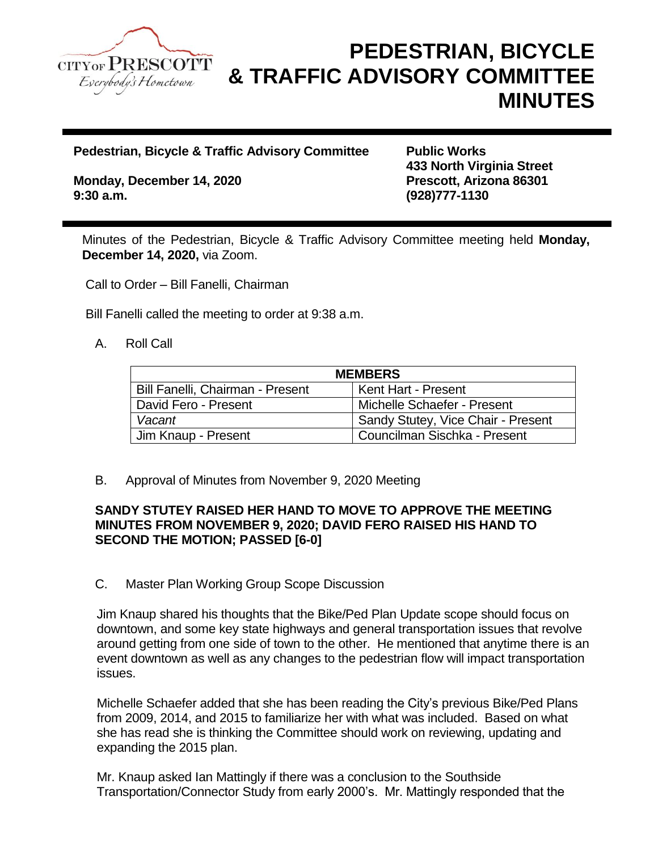

# **PEDESTRIAN, BICYCLE & TRAFFIC ADVISORY COMMITTEE MINUTES**

**Pedestrian, Bicycle & Traffic Advisory Committee Public Works** 

**Monday, December 14, 2020 Prescott, Arizona 86301 9:30 a.m. (928)777-1130**

**433 North Virginia Street**

Minutes of the Pedestrian, Bicycle & Traffic Advisory Committee meeting held **Monday, December 14, 2020,** via Zoom.

Call to Order – Bill Fanelli, Chairman

Bill Fanelli called the meeting to order at 9:38 a.m.

#### A. Roll Call

| <b>MEMBERS</b>                   |                                     |
|----------------------------------|-------------------------------------|
| Bill Fanelli, Chairman - Present | <b>Kent Hart - Present</b>          |
| David Fero - Present             | Michelle Schaefer - Present         |
| Vacant                           | Sandy Stutey, Vice Chair - Present  |
| Jim Knaup - Present              | <b>Councilman Sischka - Present</b> |

B. Approval of Minutes from November 9, 2020 Meeting

#### **SANDY STUTEY RAISED HER HAND TO MOVE TO APPROVE THE MEETING MINUTES FROM NOVEMBER 9, 2020; DAVID FERO RAISED HIS HAND TO SECOND THE MOTION; PASSED [6-0]**

C. Master Plan Working Group Scope Discussion

Jim Knaup shared his thoughts that the Bike/Ped Plan Update scope should focus on downtown, and some key state highways and general transportation issues that revolve around getting from one side of town to the other. He mentioned that anytime there is an event downtown as well as any changes to the pedestrian flow will impact transportation issues.

Michelle Schaefer added that she has been reading the City's previous Bike/Ped Plans from 2009, 2014, and 2015 to familiarize her with what was included. Based on what she has read she is thinking the Committee should work on reviewing, updating and expanding the 2015 plan.

Mr. Knaup asked Ian Mattingly if there was a conclusion to the Southside Transportation/Connector Study from early 2000's. Mr. Mattingly responded that the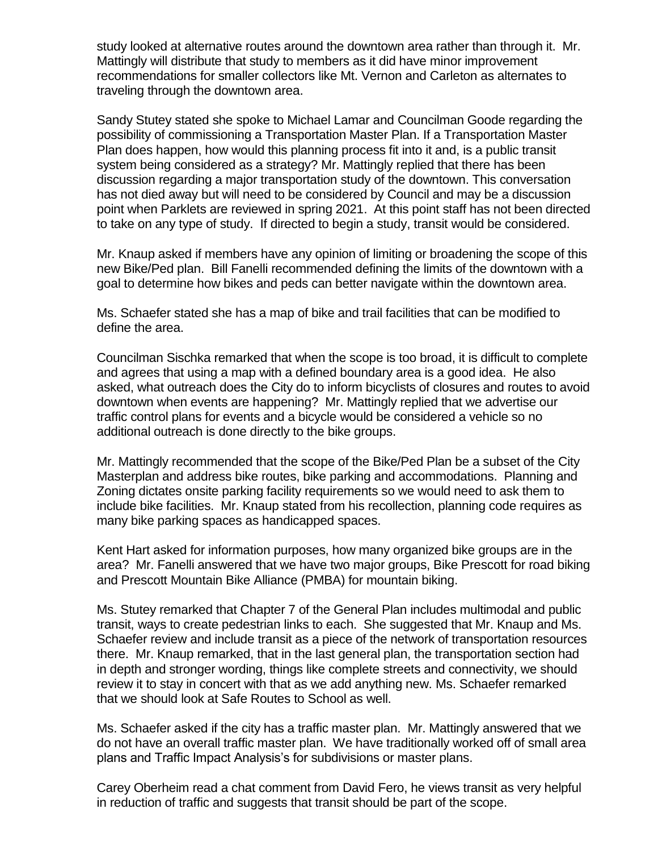study looked at alternative routes around the downtown area rather than through it. Mr. Mattingly will distribute that study to members as it did have minor improvement recommendations for smaller collectors like Mt. Vernon and Carleton as alternates to traveling through the downtown area.

Sandy Stutey stated she spoke to Michael Lamar and Councilman Goode regarding the possibility of commissioning a Transportation Master Plan. If a Transportation Master Plan does happen, how would this planning process fit into it and, is a public transit system being considered as a strategy? Mr. Mattingly replied that there has been discussion regarding a major transportation study of the downtown. This conversation has not died away but will need to be considered by Council and may be a discussion point when Parklets are reviewed in spring 2021. At this point staff has not been directed to take on any type of study. If directed to begin a study, transit would be considered.

Mr. Knaup asked if members have any opinion of limiting or broadening the scope of this new Bike/Ped plan. Bill Fanelli recommended defining the limits of the downtown with a goal to determine how bikes and peds can better navigate within the downtown area.

Ms. Schaefer stated she has a map of bike and trail facilities that can be modified to define the area.

Councilman Sischka remarked that when the scope is too broad, it is difficult to complete and agrees that using a map with a defined boundary area is a good idea. He also asked, what outreach does the City do to inform bicyclists of closures and routes to avoid downtown when events are happening? Mr. Mattingly replied that we advertise our traffic control plans for events and a bicycle would be considered a vehicle so no additional outreach is done directly to the bike groups.

Mr. Mattingly recommended that the scope of the Bike/Ped Plan be a subset of the City Masterplan and address bike routes, bike parking and accommodations. Planning and Zoning dictates onsite parking facility requirements so we would need to ask them to include bike facilities. Mr. Knaup stated from his recollection, planning code requires as many bike parking spaces as handicapped spaces.

Kent Hart asked for information purposes, how many organized bike groups are in the area? Mr. Fanelli answered that we have two major groups, Bike Prescott for road biking and Prescott Mountain Bike Alliance (PMBA) for mountain biking.

Ms. Stutey remarked that Chapter 7 of the General Plan includes multimodal and public transit, ways to create pedestrian links to each. She suggested that Mr. Knaup and Ms. Schaefer review and include transit as a piece of the network of transportation resources there. Mr. Knaup remarked, that in the last general plan, the transportation section had in depth and stronger wording, things like complete streets and connectivity, we should review it to stay in concert with that as we add anything new. Ms. Schaefer remarked that we should look at Safe Routes to School as well.

Ms. Schaefer asked if the city has a traffic master plan. Mr. Mattingly answered that we do not have an overall traffic master plan. We have traditionally worked off of small area plans and Traffic Impact Analysis's for subdivisions or master plans.

Carey Oberheim read a chat comment from David Fero, he views transit as very helpful in reduction of traffic and suggests that transit should be part of the scope.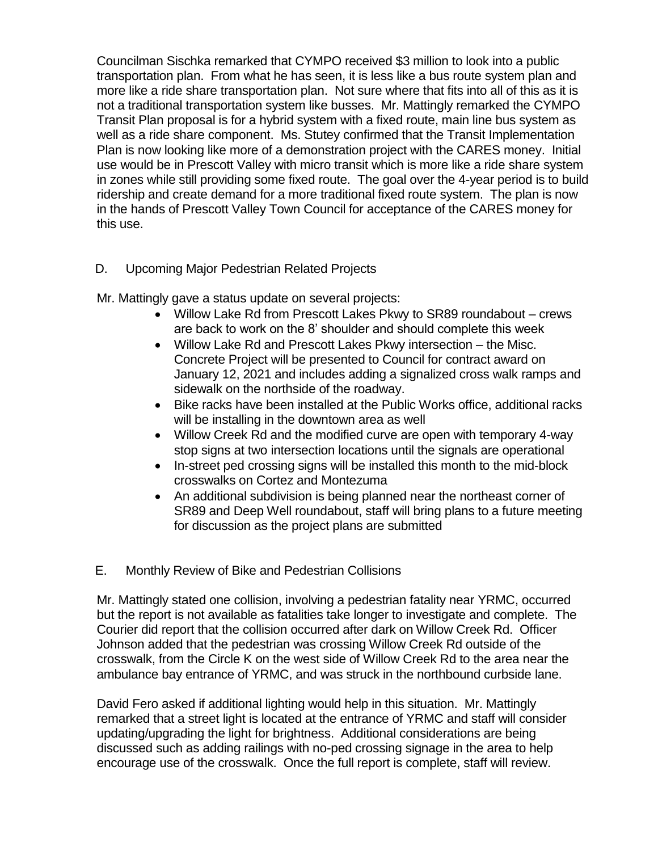Councilman Sischka remarked that CYMPO received \$3 million to look into a public transportation plan. From what he has seen, it is less like a bus route system plan and more like a ride share transportation plan. Not sure where that fits into all of this as it is not a traditional transportation system like busses. Mr. Mattingly remarked the CYMPO Transit Plan proposal is for a hybrid system with a fixed route, main line bus system as well as a ride share component. Ms. Stutey confirmed that the Transit Implementation Plan is now looking like more of a demonstration project with the CARES money. Initial use would be in Prescott Valley with micro transit which is more like a ride share system in zones while still providing some fixed route. The goal over the 4-year period is to build ridership and create demand for a more traditional fixed route system. The plan is now in the hands of Prescott Valley Town Council for acceptance of the CARES money for this use.

## D. Upcoming Major Pedestrian Related Projects

Mr. Mattingly gave a status update on several projects:

- Willow Lake Rd from Prescott Lakes Pkwy to SR89 roundabout crews are back to work on the 8' shoulder and should complete this week
- Willow Lake Rd and Prescott Lakes Pkwy intersection the Misc. Concrete Project will be presented to Council for contract award on January 12, 2021 and includes adding a signalized cross walk ramps and sidewalk on the northside of the roadway.
- Bike racks have been installed at the Public Works office, additional racks will be installing in the downtown area as well
- Willow Creek Rd and the modified curve are open with temporary 4-way stop signs at two intersection locations until the signals are operational
- In-street ped crossing signs will be installed this month to the mid-block crosswalks on Cortez and Montezuma
- An additional subdivision is being planned near the northeast corner of SR89 and Deep Well roundabout, staff will bring plans to a future meeting for discussion as the project plans are submitted

## E. Monthly Review of Bike and Pedestrian Collisions

Mr. Mattingly stated one collision, involving a pedestrian fatality near YRMC, occurred but the report is not available as fatalities take longer to investigate and complete. The Courier did report that the collision occurred after dark on Willow Creek Rd. Officer Johnson added that the pedestrian was crossing Willow Creek Rd outside of the crosswalk, from the Circle K on the west side of Willow Creek Rd to the area near the ambulance bay entrance of YRMC, and was struck in the northbound curbside lane.

David Fero asked if additional lighting would help in this situation. Mr. Mattingly remarked that a street light is located at the entrance of YRMC and staff will consider updating/upgrading the light for brightness. Additional considerations are being discussed such as adding railings with no-ped crossing signage in the area to help encourage use of the crosswalk. Once the full report is complete, staff will review.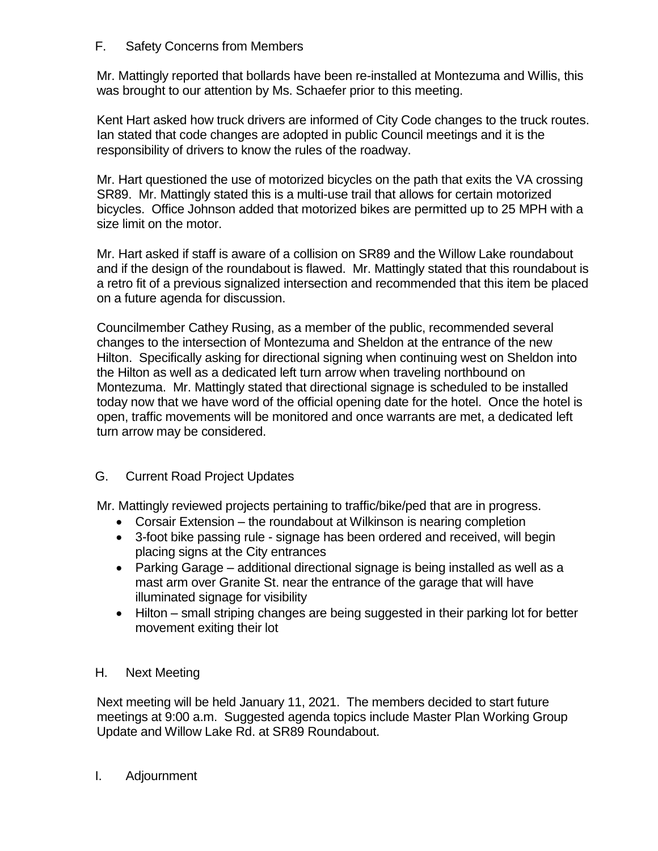#### F. Safety Concerns from Members

Mr. Mattingly reported that bollards have been re-installed at Montezuma and Willis, this was brought to our attention by Ms. Schaefer prior to this meeting.

Kent Hart asked how truck drivers are informed of City Code changes to the truck routes. Ian stated that code changes are adopted in public Council meetings and it is the responsibility of drivers to know the rules of the roadway.

Mr. Hart questioned the use of motorized bicycles on the path that exits the VA crossing SR89. Mr. Mattingly stated this is a multi-use trail that allows for certain motorized bicycles. Office Johnson added that motorized bikes are permitted up to 25 MPH with a size limit on the motor.

Mr. Hart asked if staff is aware of a collision on SR89 and the Willow Lake roundabout and if the design of the roundabout is flawed. Mr. Mattingly stated that this roundabout is a retro fit of a previous signalized intersection and recommended that this item be placed on a future agenda for discussion.

Councilmember Cathey Rusing, as a member of the public, recommended several changes to the intersection of Montezuma and Sheldon at the entrance of the new Hilton. Specifically asking for directional signing when continuing west on Sheldon into the Hilton as well as a dedicated left turn arrow when traveling northbound on Montezuma. Mr. Mattingly stated that directional signage is scheduled to be installed today now that we have word of the official opening date for the hotel. Once the hotel is open, traffic movements will be monitored and once warrants are met, a dedicated left turn arrow may be considered.

## G. Current Road Project Updates

Mr. Mattingly reviewed projects pertaining to traffic/bike/ped that are in progress.

- Corsair Extension the roundabout at Wilkinson is nearing completion
- 3-foot bike passing rule signage has been ordered and received, will begin placing signs at the City entrances
- Parking Garage additional directional signage is being installed as well as a mast arm over Granite St. near the entrance of the garage that will have illuminated signage for visibility
- Hilton small striping changes are being suggested in their parking lot for better movement exiting their lot

## H. Next Meeting

Next meeting will be held January 11, 2021. The members decided to start future meetings at 9:00 a.m. Suggested agenda topics include Master Plan Working Group Update and Willow Lake Rd. at SR89 Roundabout.

## I. Adjournment